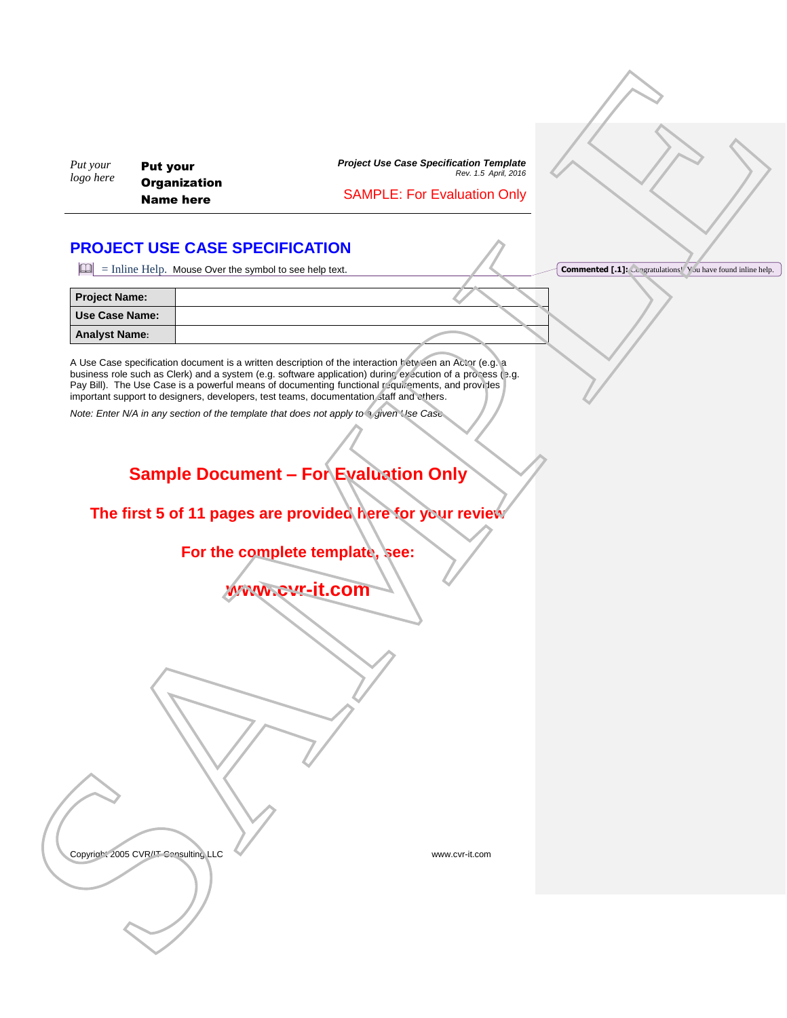### SAMPLE: For Evaluation Only

## <span id="page-0-0"></span>**PROJECT USE CASE SPECIFICATION**

| Put your<br>logo here                         | <b>Put your</b><br><b>Organization</b><br><b>Name here</b>                                                  | <b>Project Use Case Specification Template</b><br>Rev. 1.5 April, 2016<br><b>SAMPLE: For Evaluation Only</b>                                                                                                                                                                                                           |                                                                      |
|-----------------------------------------------|-------------------------------------------------------------------------------------------------------------|------------------------------------------------------------------------------------------------------------------------------------------------------------------------------------------------------------------------------------------------------------------------------------------------------------------------|----------------------------------------------------------------------|
|                                               | <b>PROJECT USE CASE SPECIFICATION</b><br>$\boxed{4}$ = Inline Help. Mouse Over the symbol to see help text. |                                                                                                                                                                                                                                                                                                                        | <b>Commented [.1]:</b> Con tra'ulations! You have found inline help. |
| <b>Project Name:</b><br><b>Use Case Name:</b> |                                                                                                             |                                                                                                                                                                                                                                                                                                                        |                                                                      |
| <b>Analyst Name:</b>                          | important support to designers, developers, test teams, documentation staff and others.                     | A Use Case specification document is a written description of the interaction between an Actor (e.g. a<br>business role such as Clerk) and a system (e.g. software application) during execution of a process e.g.<br>Pay Bill). The Use Case is a powerful means of documenting functional yequirements, and provides |                                                                      |
|                                               | Note: Enter N/A in any section of the template that does not apply to a given. Use Case                     | <b>Sample Document - For Evaluation Only</b>                                                                                                                                                                                                                                                                           |                                                                      |
|                                               |                                                                                                             | The first 5 of 11 pages are provided here for your review                                                                                                                                                                                                                                                              |                                                                      |
|                                               |                                                                                                             | For the complete template, see:<br><b>WWW.cvr-it.com</b>                                                                                                                                                                                                                                                               |                                                                      |
|                                               |                                                                                                             |                                                                                                                                                                                                                                                                                                                        |                                                                      |
|                                               | Convright 2005 CVR/IT Consulting LLC                                                                        | www.cvr-it.com                                                                                                                                                                                                                                                                                                         |                                                                      |
|                                               |                                                                                                             |                                                                                                                                                                                                                                                                                                                        |                                                                      |

# **Sample Document – For Evaluation Only**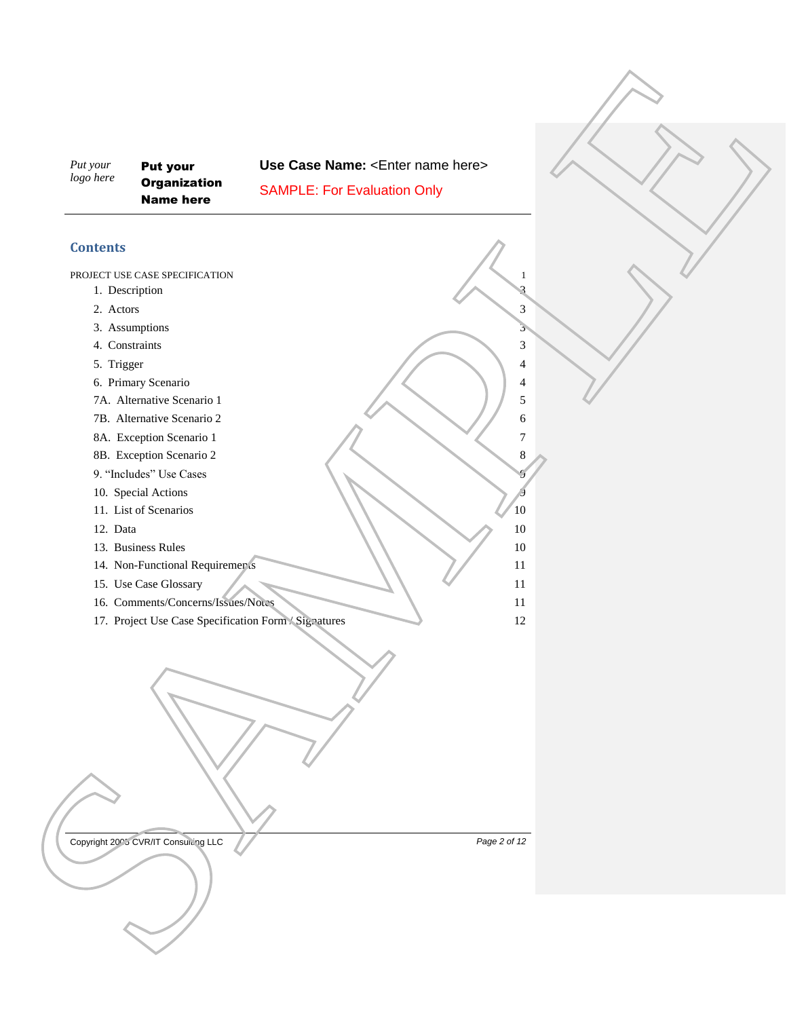Put your **Organization** Name here

**Use Case Name: < Enter name here>**  $\begin{minipage}{0.99\textwidth} \begin{tabular}{|c|c|c|} \hline \textbf{0.17.5} & \textbf{Nst part} \\ \hline \textbf{0.17.5} & \textbf{0.17.5} & \textbf{0.17.5} \\ \hline \textbf{0.17.5} & \textbf{0.17.5} & \textbf{0.17.5} \\ \hline \textbf{0.17.5} & \textbf{0.17.5} & \textbf{0.17.5} \\ \hline \textbf{1.17.5} & \textbf{1.7.5} & \textbf{1.7.5} \\ \hline \textbf{1.17.5$ 

SAMPLE: For Evaluation Only

### **Contents**

PROJECT USE CASE SPECIFICATION **1** 

- 1. Description 3
- 2. Actors 3
- 3. Assumptions 3
- 4. Constraints 3
- 5. Trigger  $\sqrt{4}$
- 6. Primary Scenario 4
- 7A. Alternative Scenario 1 5
- TB. Alternative Scenario 2 6
- 8A. Exception Scenario 1 7
- 8B. Exception Scenario 2 8
- 9. "Includes" Use Cases 9
- 10. Special Actions
- 11. List of Scenarios 2012 10
- 12. Data 10
- 13. Business Rules 10
- 14. Non-Functional Requirements 11
- 15. Use Case Glossary 11
- 16. Comments/Concerns/Issues/No.cs 11
- 

Copyright 200<sup>5</sup> CVR/IT Consulting LLC **Page 2** of 12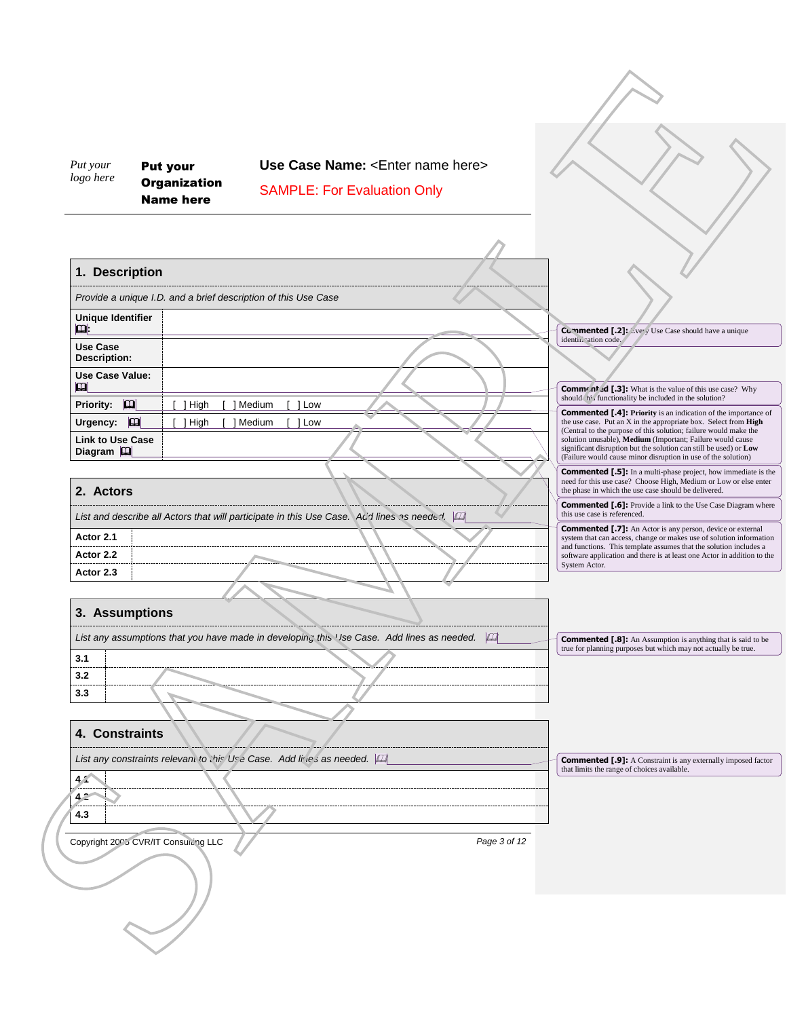<span id="page-2-3"></span><span id="page-2-2"></span><span id="page-2-1"></span><span id="page-2-0"></span>

| Put your<br><b>Put your</b><br>logo here<br><b>Organization</b><br><b>Name here</b> | Use Case Name: <enter here="" name=""><br/><b>SAMPLE: For Evaluation Only</b></enter>          |                                                                                                                                                                                                   |
|-------------------------------------------------------------------------------------|------------------------------------------------------------------------------------------------|---------------------------------------------------------------------------------------------------------------------------------------------------------------------------------------------------|
|                                                                                     |                                                                                                |                                                                                                                                                                                                   |
| 1. Description                                                                      |                                                                                                |                                                                                                                                                                                                   |
| Provide a unique I.D. and a brief description of this Use Case                      |                                                                                                |                                                                                                                                                                                                   |
| <b>Unique Identifier</b><br>$\mathbf{p}$                                            |                                                                                                |                                                                                                                                                                                                   |
| Use Case                                                                            |                                                                                                | <b>Commented [.2]:</b> <i>Livery</i> Use Case should have a unique<br>identi."cation code.                                                                                                        |
| <b>Description:</b>                                                                 |                                                                                                |                                                                                                                                                                                                   |
| <b>Use Case Value:</b><br>m                                                         |                                                                                                | <b>Commented</b> [.3]: What is the value of this use case? Why<br>should 'n', functionality be included in the solution?                                                                          |
| $\mathbf{p}$<br><b>Priority:</b><br>$[$ ] High                                      | [ ] Medium<br>$\lceil$ 1 Low                                                                   | <b>Commented [.4]: Priority</b> is an indication of the importance of                                                                                                                             |
| Urgency: [<br>$[$ ] High<br><b>Link to Use Case</b>                                 | [ ] Medium<br>[ ] Low                                                                          | the use case. Put an X in the appropriate box. Select from High<br>(Central to the purpose of this solution; failure would make the<br>solution unusable), Medium (Important; Failure would cause |
| Diagram $ \mathbf{u} $                                                              |                                                                                                | significant disruption but the solution can still be used) or Low<br>(Failure would cause minor disruption in use of the solution)                                                                |
|                                                                                     |                                                                                                | <b>Commented [.5]:</b> In a multi-phase project, how immediate is the<br>need for this use case? Choose High, Medium or Low or else enter                                                         |
| 2. Actors                                                                           |                                                                                                | the phase in which the use case should be delivered.<br><b>Commented [.6]:</b> Provide a link to the Use Case Diagram where                                                                       |
|                                                                                     | List and describe all Actors that will participate in this Use Case. A d lines as needed. [41] | this use case is referenced.<br><b>Commented [.7]:</b> An Actor is any person, device or external                                                                                                 |
| Actor 2.1                                                                           |                                                                                                | system that can access, change or makes use of solution information<br>and functions. This template assumes that the solution includes a                                                          |
| Actor 2.2<br>Actor 2.3                                                              |                                                                                                | software application and there is at least one Actor in addition to the<br>System Actor.                                                                                                          |
|                                                                                     |                                                                                                |                                                                                                                                                                                                   |
| 3. Assumptions                                                                      |                                                                                                |                                                                                                                                                                                                   |
|                                                                                     | List any assumptions that you have made in developing this Use Case. Add lines as needed. [44] |                                                                                                                                                                                                   |
| 3.1                                                                                 |                                                                                                | <b>Commented [.8]:</b> An Assumption is anything that is said to be true for planning purposes but which may not actually be true.                                                                |
| 3.2                                                                                 |                                                                                                |                                                                                                                                                                                                   |
| 3.3                                                                                 |                                                                                                |                                                                                                                                                                                                   |
|                                                                                     |                                                                                                |                                                                                                                                                                                                   |
| 4. Constraints                                                                      |                                                                                                |                                                                                                                                                                                                   |
| List any constraints relevant to this 'Jsr, Case. Add lires as needed. [11]         |                                                                                                | <b>Commented [.9]:</b> A Constraint is any externally imposed factor<br>that limits the range of choices available.                                                                               |
| 4.1<br>4.2                                                                          |                                                                                                |                                                                                                                                                                                                   |
| 4.3                                                                                 |                                                                                                |                                                                                                                                                                                                   |
| Copyright 2005 CVR/IT Consulting LLC                                                | Page 3 of 12                                                                                   |                                                                                                                                                                                                   |
|                                                                                     |                                                                                                |                                                                                                                                                                                                   |
|                                                                                     |                                                                                                |                                                                                                                                                                                                   |
|                                                                                     |                                                                                                |                                                                                                                                                                                                   |
|                                                                                     |                                                                                                |                                                                                                                                                                                                   |
|                                                                                     |                                                                                                |                                                                                                                                                                                                   |
|                                                                                     |                                                                                                |                                                                                                                                                                                                   |
|                                                                                     |                                                                                                |                                                                                                                                                                                                   |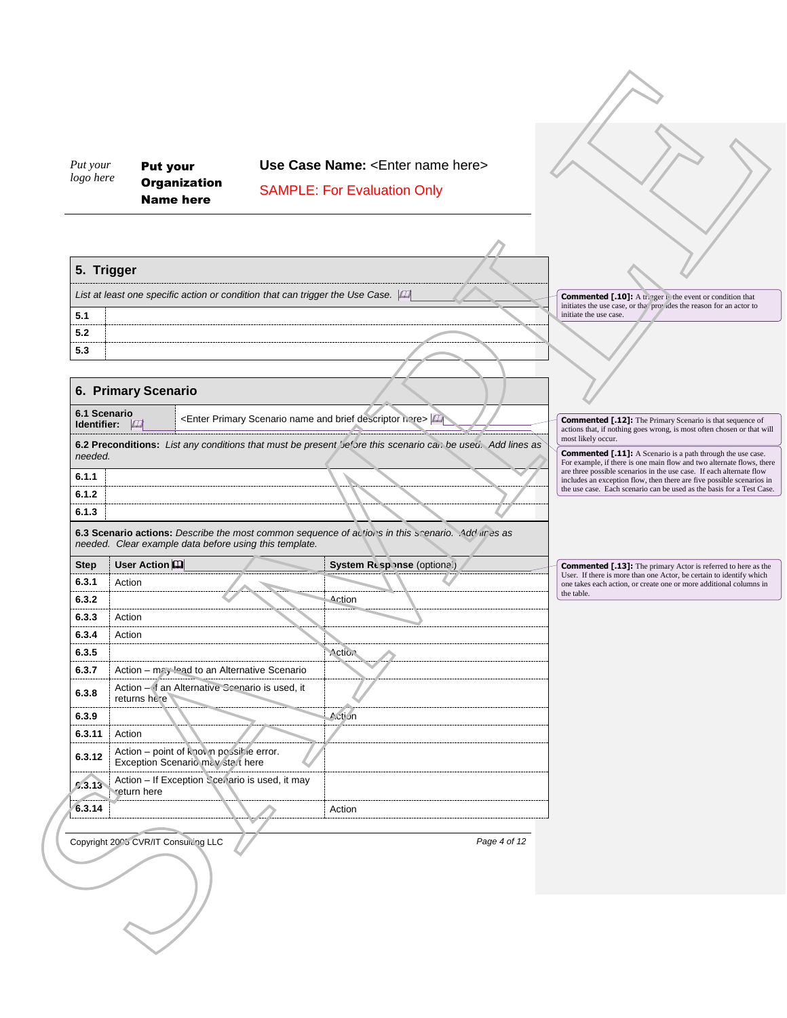<span id="page-3-1"></span><span id="page-3-0"></span>

| logo here        | Put your<br><b>Put your</b><br><b>Organization</b><br><b>Name here</b>                   | Use Case Name: <enter here="" name=""><br/><b>SAMPLE: For Evaluation Only</b></enter>                      |              |                                                                                                                                                |
|------------------|------------------------------------------------------------------------------------------|------------------------------------------------------------------------------------------------------------|--------------|------------------------------------------------------------------------------------------------------------------------------------------------|
|                  |                                                                                          |                                                                                                            |              |                                                                                                                                                |
| 5. Trigger       |                                                                                          |                                                                                                            |              |                                                                                                                                                |
|                  |                                                                                          | List at least one specific action or condition that can trigger the Use Case.                              |              | <b>Commented [.10]:</b> A tr gger is the event or condition that<br>initiates the use case, or the provides the reason for an actor to         |
| 5.1              |                                                                                          |                                                                                                            |              | initiate the use case.                                                                                                                         |
| 5.2              |                                                                                          |                                                                                                            |              |                                                                                                                                                |
| 5.3              |                                                                                          |                                                                                                            |              |                                                                                                                                                |
|                  |                                                                                          |                                                                                                            |              |                                                                                                                                                |
|                  | 6. Primary Scenario                                                                      |                                                                                                            |              |                                                                                                                                                |
| 6.1 Scenario     |                                                                                          | <enter and="" brief="" descriptor="" here="" name="" primary="" scenario=""></enter>                       |              | <b>Commented [.12]:</b> The Primary Scenario is that sequence of                                                                               |
| Identifier: [47] |                                                                                          |                                                                                                            |              | actions that, if nothing goes wrong, is most often chosen or that will<br>most likely occur.                                                   |
| needed.          |                                                                                          | 6.2 Preconditions: List any conditions that must be present pe ore this scenario can be used. Add lines as |              | <b>Commented [.11]:</b> A Scenario is a path through the use case.                                                                             |
|                  |                                                                                          |                                                                                                            |              | For example, if there is one main flow and two alternate flows, there<br>are three possible scenarios in the use case. If each alternate flow  |
| 6.1.1<br>6.1.2   |                                                                                          |                                                                                                            |              | includes an exception flow, then there are five possible scenarios in<br>the use case. Each scenario can be used as the basis for a Test Case. |
| 6.1.3            |                                                                                          |                                                                                                            |              |                                                                                                                                                |
|                  |                                                                                          | 6.3 Scenario actions: Describe the most common sequence of actions in this ccenario. Add In es as          |              |                                                                                                                                                |
|                  | needed. Clear example data before using this template.                                   |                                                                                                            |              |                                                                                                                                                |
| <b>Step</b>      | User Action                                                                              | System Response (optional)                                                                                 |              | <b>Commented [.13]:</b> The primary Actor is referred to here as the                                                                           |
| 6.3.1            | Action                                                                                   |                                                                                                            |              | User. If there is more than one Actor, be certain to identify which<br>one takes each action, or create one or more additional columns in      |
| 6.3.2            |                                                                                          | Action                                                                                                     |              | the table.                                                                                                                                     |
|                  |                                                                                          |                                                                                                            |              |                                                                                                                                                |
| 6.3.3            | Action                                                                                   |                                                                                                            |              |                                                                                                                                                |
| 6.3.4            | Action                                                                                   |                                                                                                            |              |                                                                                                                                                |
| 6.3.5            |                                                                                          | Action                                                                                                     |              |                                                                                                                                                |
| 6.3.7            | Action - may lead to an Alternative Scenario                                             |                                                                                                            |              |                                                                                                                                                |
| 6.3.8            | Action - if an Alternative Scenario is used, it                                          |                                                                                                            |              |                                                                                                                                                |
|                  | returns here                                                                             |                                                                                                            |              |                                                                                                                                                |
| 6.3.9            |                                                                                          | Acti un                                                                                                    |              |                                                                                                                                                |
| 6.3.11<br>6.3.12 | Action<br>Action - point of known possible error.<br>Exception Scenario .na / s.ar. here |                                                                                                            |              |                                                                                                                                                |
| 6.3.13           | Action - If Exception Scer ario is used, it may<br>return here                           |                                                                                                            |              |                                                                                                                                                |
| 6.3.14           |                                                                                          | Action                                                                                                     |              |                                                                                                                                                |
|                  |                                                                                          |                                                                                                            |              |                                                                                                                                                |
|                  | Copyright 2005 CVR/IT Consulting LLC                                                     |                                                                                                            | Page 4 of 12 |                                                                                                                                                |